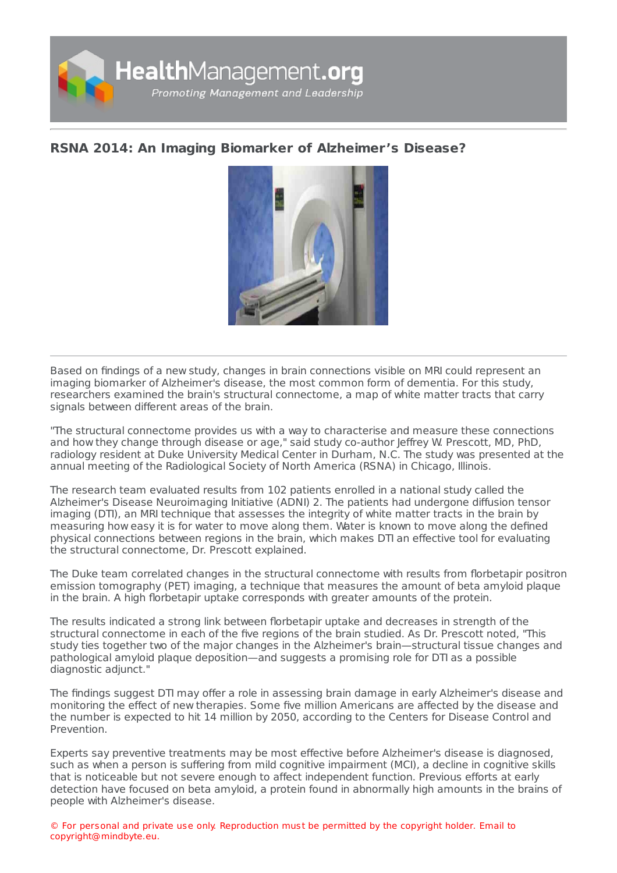

## **RSNA 2014: An Imaging Biomarker of [Alzheimer's](https://healthmanagement.org/s/rsna-2014-an-imaging-biomarker-of-alzheimer-s-disease) Disease?**



Based on findings of a new study, changes in brain connections visible on MRI could represent an imaging biomarker of Alzheimer's disease, the most common form of dementia. For this study, researchers examined the brain's structural connectome, a map of white matter tracts that carry signals between different areas of the brain.

"The structural connectome provides us with a way to characterise and measure these connections and how they change through disease or age," said study co-author Jeffrey W. Prescott, MD, PhD, radiology resident at Duke University Medical Center in Durham, N.C. The study was presented at the annual meeting of the Radiological Society of North America (RSNA) in Chicago, Illinois.

The research team evaluated results from 102 patients enrolled in a national study called the Alzheimer's Disease Neuroimaging Initiative (ADNI) 2. The patients had undergone diffusion tensor imaging (DTI), an MRI technique that assesses the integrity of white matter tracts in the brain by measuring how easy it is for water to move along them. Water is known to move along the defined physical connections between regions in the brain, which makes DTI an effective tool for evaluating the structural connectome, Dr. Prescott explained.

The Duke team correlated changes in the structural connectome with results from florbetapir positron emission tomography (PET) imaging, a technique that measures the amount of beta amyloid plaque in the brain. A high florbetapir uptake corresponds with greater amounts of the protein.

The results indicated a strong link between florbetapir uptake and decreases in strength of the structural connectome in each of the five regions of the brain studied. As Dr. Prescott noted, "This study ties together two of the major changes in the Alzheimer's brain—structural tissue changes and pathological amyloid plaque deposition—and suggests a promising role for DTI as a possible diagnostic adjunct."

The findings suggest DTI may offer a role in assessing brain damage in early Alzheimer's disease and monitoring the effect of new therapies. Some five million Americans are affected by the disease and the number is expected to hit 14 million by 2050, according to the Centers for Disease Control and Prevention.

Experts say preventive treatments may be most effective before Alzheimer's disease is diagnosed, such as when a person is suffering from mild cognitive impairment (MCI), a decline in cognitive skills that is noticeable but not severe enough to affect independent function. Previous efforts at early detection have focused on beta amyloid, a protein found in abnormally high amounts in the brains of people with Alzheimer's disease.

© For personal and private use only. Reproduction must be permitted by the copyright holder. Email to copyright@mindbyte.eu.